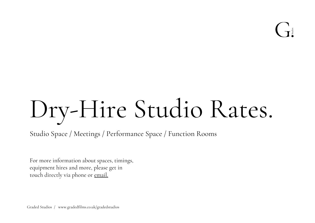# Dry-Hire Studio Rates.

Studio Space / Meetings / Performance Space / Function Rooms

For more information about spaces, timings, equipment hires and more, please get in touch directly via phone or [email.](mailto:studio@gradedfilms.co.uk?subject=Tell%20me%20more%20about%20the%20Studio)

Graded Studios / www.gradedfilms.co.uk/gradedstudios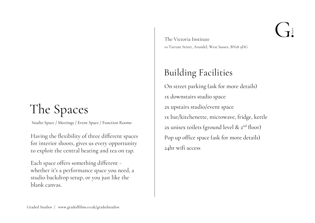### The Spaces

Studio Space / Meetings / Event Space / Function Rooms

Having the flexibility of three different spaces for interior shoots, gives us every opportunity to exploit the central heating and tea on tap.

Each space offers something different whether it's a performance space you need, a studio backdrop setup, or you just like the blank canvas.

The Victoria Institute 10 Tarrant Street, Arundel, West Sussex, BN18 9DG

#### Building Facilities

On street parking (ask for more details) 1x downstairs studio space 2x upstairs studio/event space 1x bar/kitchenette, microwave, fridge, kettle 2x unisex toilets (ground level & 2<sup>nd</sup> floor) Pop up office space (ask for more details) 24hr wifi access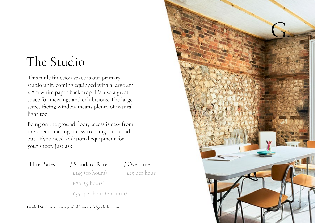#### The Studio

This multifunction space is our primary studio unit, coming equipped with a large 4m x 8m white paper backdrop. It's also a great space for meetings and exhibitions. The large street facing window means plenty of natural light too.

Being on the ground floor, access is easy from the street, making it easy to bring kit in and out. If you need additional equipment for your shoot, just ask!

| Hire Rates | / Standard Rate   | / Overtime               |  |
|------------|-------------------|--------------------------|--|
|            | $E145$ (10 hours) | £25 per hour             |  |
|            | £80 (5 hours)     |                          |  |
|            |                   | $E_3$ per hour (2hr min) |  |

Graded Studios / www.gradedfilms.co.uk/gradedstudios

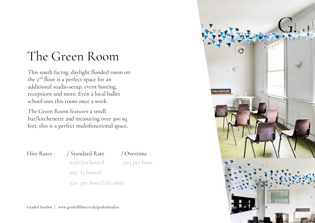#### The Green Room

This south facing, daylight flooded room on the 2nd floor is a perfect space for an additional studio setup, event hosting, receptions and more. Even a local ballet school uses this room once a week.

The Green Room features a small bar/kitchenette and measuring over 300 sq. feet, this is a perfect multifunctional space.

#### Hire Rates / Standard Rate / Overtime

 £120 (10 hours) £25 per hour £65 (5 hours)

£20 per hour (2hr min)



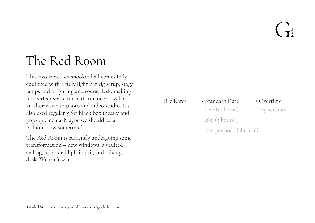#### The Red Room

This two-tiered ex-snooker hall comes fully equipped with a fully light bar rig setup, stage lamps and a lighting and sound desk, making it a perfect space for performance as well as an alternative to photo and video studio. It's also used regularly for black box theatre and pop-up cinema. Maybe we should do a fashion show sometime?

The Red Room is currently undergoing some transformation – new windows, a vaulted ceiling, upgraded lighting rig and mixing desk. We can't wait!

| Hire Rates | / Standard Rate          | / Overtime   |
|------------|--------------------------|--------------|
|            | $E$ 120 (10 hours)       | £25 per hour |
|            | $\epsilon$ 65 (5 hours)  |              |
|            | $E20$ per hour (2hr min) |              |